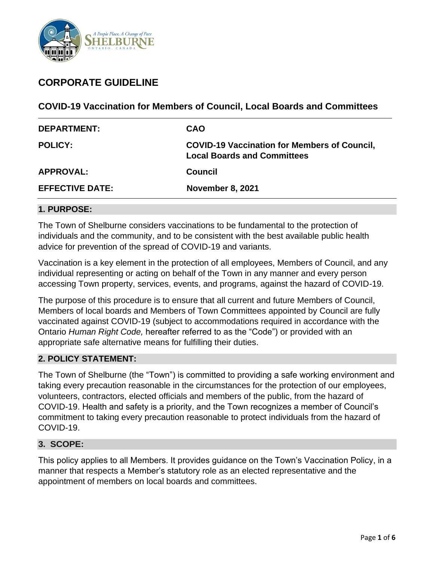

# **CORPORATE GUIDELINE**

**COVID-19 Vaccination for Members of Council, Local Boards and Committees**

| <b>DEPARTMENT:</b>     | <b>CAO</b>                                                                                |
|------------------------|-------------------------------------------------------------------------------------------|
| <b>POLICY:</b>         | <b>COVID-19 Vaccination for Members of Council,</b><br><b>Local Boards and Committees</b> |
| <b>APPROVAL:</b>       | Council                                                                                   |
| <b>EFFECTIVE DATE:</b> | <b>November 8, 2021</b>                                                                   |

#### **1. PURPOSE:**

The Town of Shelburne considers vaccinations to be fundamental to the protection of individuals and the community, and to be consistent with the best available public health advice for prevention of the spread of COVID-19 and variants.

Vaccination is a key element in the protection of all employees, Members of Council, and any individual representing or acting on behalf of the Town in any manner and every person accessing Town property, services, events, and programs, against the hazard of COVID-19.

The purpose of this procedure is to ensure that all current and future Members of Council, Members of local boards and Members of Town Committees appointed by Council are fully vaccinated against COVID-19 (subject to accommodations required in accordance with the Ontario *Human Right Code,* hereafter referred to as the "Code") or provided with an appropriate safe alternative means for fulfilling their duties.

#### **2. POLICY STATEMENT:**

The Town of Shelburne (the "Town") is committed to providing a safe working environment and taking every precaution reasonable in the circumstances for the protection of our employees, volunteers, contractors, elected officials and members of the public, from the hazard of COVID-19. Health and safety is a priority, and the Town recognizes a member of Council's commitment to taking every precaution reasonable to protect individuals from the hazard of COVID-19.

#### **3. SCOPE:**

This policy applies to all Members. It provides guidance on the Town's Vaccination Policy, in a manner that respects a Member's statutory role as an elected representative and the appointment of members on local boards and committees.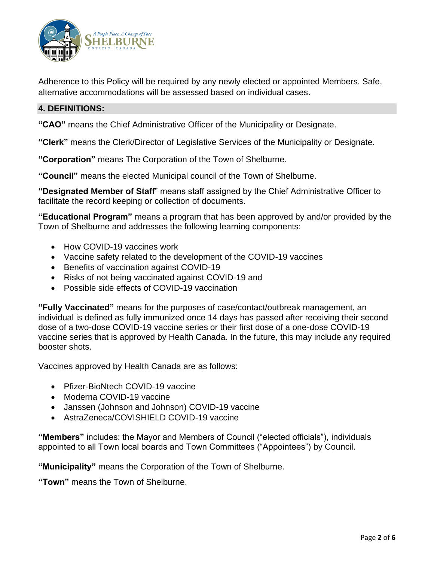

Adherence to this Policy will be required by any newly elected or appointed Members. Safe, alternative accommodations will be assessed based on individual cases.

#### **4. DEFINITIONS:**

**"CAO"** means the Chief Administrative Officer of the Municipality or Designate.

**"Clerk"** means the Clerk/Director of Legislative Services of the Municipality or Designate.

**"Corporation"** means The Corporation of the Town of Shelburne.

**"Council"** means the elected Municipal council of the Town of Shelburne.

**"Designated Member of Staff**" means staff assigned by the Chief Administrative Officer to facilitate the record keeping or collection of documents.

**"Educational Program"** means a program that has been approved by and/or provided by the Town of Shelburne and addresses the following learning components:

- How COVID-19 vaccines work
- Vaccine safety related to the development of the COVID-19 vaccines
- Benefits of vaccination against COVID-19
- Risks of not being vaccinated against COVID-19 and
- Possible side effects of COVID-19 vaccination

**"Fully Vaccinated"** means for the purposes of case/contact/outbreak management, an individual is defined as fully immunized once 14 days has passed after receiving their second dose of a two-dose COVID-19 vaccine series or their first dose of a one-dose COVID-19 vaccine series that is approved by Health Canada. In the future, this may include any required booster shots.

Vaccines approved by Health Canada are as follows:

- Pfizer-BioNtech COVID-19 vaccine
- Moderna COVID-19 vaccine
- Janssen (Johnson and Johnson) COVID-19 vaccine
- AstraZeneca/COVISHIELD COVID-19 vaccine

**"Members"** includes: the Mayor and Members of Council ("elected officials"), individuals appointed to all Town local boards and Town Committees ("Appointees") by Council.

**"Municipality"** means the Corporation of the Town of Shelburne.

**"Town"** means the Town of Shelburne.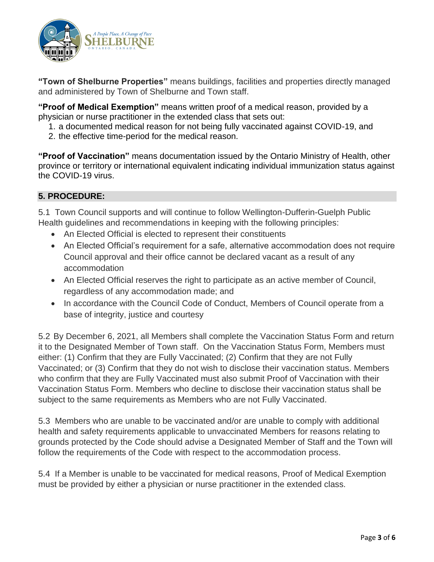

**"Town of Shelburne Properties"** means buildings, facilities and properties directly managed and administered by Town of Shelburne and Town staff.

**"Proof of Medical Exemption"** means written proof of a medical reason, provided by a physician or nurse practitioner in the extended class that sets out:

- 1. a documented medical reason for not being fully vaccinated against COVID-19, and
- 2. the effective time-period for the medical reason.

**"Proof of Vaccination"** means documentation issued by the Ontario Ministry of Health, other province or territory or international equivalent indicating individual immunization status against the COVID-19 virus.

#### **5. PROCEDURE:**

5.1 Town Council supports and will continue to follow Wellington-Dufferin-Guelph Public Health guidelines and recommendations in keeping with the following principles:

- An Elected Official is elected to represent their constituents
- An Elected Official's requirement for a safe, alternative accommodation does not require Council approval and their office cannot be declared vacant as a result of any accommodation
- An Elected Official reserves the right to participate as an active member of Council, regardless of any accommodation made; and
- In accordance with the Council Code of Conduct, Members of Council operate from a base of integrity, justice and courtesy

5.2 By December 6, 2021, all Members shall complete the Vaccination Status Form and return it to the Designated Member of Town staff. On the Vaccination Status Form, Members must either: (1) Confirm that they are Fully Vaccinated; (2) Confirm that they are not Fully Vaccinated; or (3) Confirm that they do not wish to disclose their vaccination status. Members who confirm that they are Fully Vaccinated must also submit Proof of Vaccination with their Vaccination Status Form. Members who decline to disclose their vaccination status shall be subject to the same requirements as Members who are not Fully Vaccinated.

5.3 Members who are unable to be vaccinated and/or are unable to comply with additional health and safety requirements applicable to unvaccinated Members for reasons relating to grounds protected by the Code should advise a Designated Member of Staff and the Town will follow the requirements of the Code with respect to the accommodation process.

5.4 If a Member is unable to be vaccinated for medical reasons, Proof of Medical Exemption must be provided by either a physician or nurse practitioner in the extended class.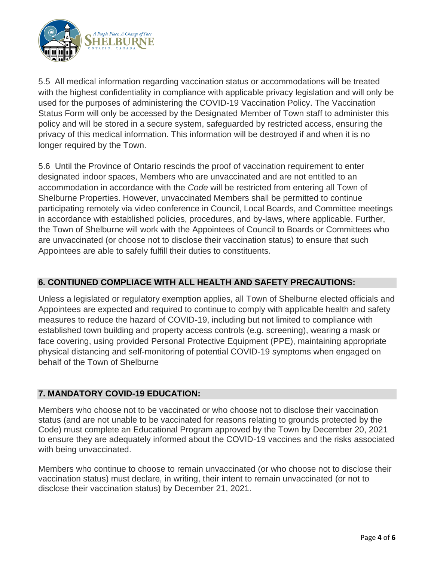

5.5 All medical information regarding vaccination status or accommodations will be treated with the highest confidentiality in compliance with applicable privacy legislation and will only be used for the purposes of administering the COVID-19 Vaccination Policy. The Vaccination Status Form will only be accessed by the Designated Member of Town staff to administer this policy and will be stored in a secure system, safeguarded by restricted access, ensuring the privacy of this medical information. This information will be destroyed if and when it is no longer required by the Town.

5.6 Until the Province of Ontario rescinds the proof of vaccination requirement to enter designated indoor spaces, Members who are unvaccinated and are not entitled to an accommodation in accordance with the *Code* will be restricted from entering all Town of Shelburne Properties. However, unvaccinated Members shall be permitted to continue participating remotely via video conference in Council, Local Boards, and Committee meetings in accordance with established policies, procedures, and by-laws, where applicable. Further, the Town of Shelburne will work with the Appointees of Council to Boards or Committees who are unvaccinated (or choose not to disclose their vaccination status) to ensure that such Appointees are able to safely fulfill their duties to constituents.

## **6. CONTIUNED COMPLIACE WITH ALL HEALTH AND SAFETY PRECAUTIONS:**

Unless a legislated or regulatory exemption applies, all Town of Shelburne elected officials and Appointees are expected and required to continue to comply with applicable health and safety measures to reduce the hazard of COVID-19, including but not limited to compliance with established town building and property access controls (e.g. screening), wearing a mask or face covering, using provided Personal Protective Equipment (PPE), maintaining appropriate physical distancing and self-monitoring of potential COVID-19 symptoms when engaged on behalf of the Town of Shelburne

#### **7. MANDATORY COVID-19 EDUCATION:**

Members who choose not to be vaccinated or who choose not to disclose their vaccination status (and are not unable to be vaccinated for reasons relating to grounds protected by the Code) must complete an Educational Program approved by the Town by December 20, 2021 to ensure they are adequately informed about the COVID-19 vaccines and the risks associated with being unvaccinated.

Members who continue to choose to remain unvaccinated (or who choose not to disclose their vaccination status) must declare, in writing, their intent to remain unvaccinated (or not to disclose their vaccination status) by December 21, 2021.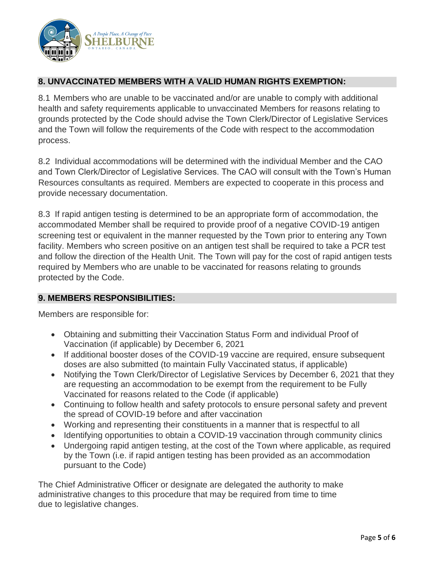

# **8. UNVACCINATED MEMBERS WITH A VALID HUMAN RIGHTS EXEMPTION:**

8.1 Members who are unable to be vaccinated and/or are unable to comply with additional health and safety requirements applicable to unvaccinated Members for reasons relating to grounds protected by the Code should advise the Town Clerk/Director of Legislative Services and the Town will follow the requirements of the Code with respect to the accommodation process.

8.2 Individual accommodations will be determined with the individual Member and the CAO and Town Clerk/Director of Legislative Services. The CAO will consult with the Town's Human Resources consultants as required. Members are expected to cooperate in this process and provide necessary documentation.

8.3 If rapid antigen testing is determined to be an appropriate form of accommodation, the accommodated Member shall be required to provide proof of a negative COVID-19 antigen screening test or equivalent in the manner requested by the Town prior to entering any Town facility. Members who screen positive on an antigen test shall be required to take a PCR test and follow the direction of the Health Unit. The Town will pay for the cost of rapid antigen tests required by Members who are unable to be vaccinated for reasons relating to grounds protected by the Code.

#### **9. MEMBERS RESPONSIBILITIES:**

Members are responsible for:

- Obtaining and submitting their Vaccination Status Form and individual Proof of Vaccination (if applicable) by December 6, 2021
- If additional booster doses of the COVID-19 vaccine are required, ensure subsequent doses are also submitted (to maintain Fully Vaccinated status, if applicable)
- Notifying the Town Clerk/Director of Legislative Services by December 6, 2021 that they are requesting an accommodation to be exempt from the requirement to be Fully Vaccinated for reasons related to the Code (if applicable)
- Continuing to follow health and safety protocols to ensure personal safety and prevent the spread of COVID-19 before and after vaccination
- Working and representing their constituents in a manner that is respectful to all
- Identifying opportunities to obtain a COVID-19 vaccination through community clinics
- Undergoing rapid antigen testing, at the cost of the Town where applicable, as required by the Town (i.e. if rapid antigen testing has been provided as an accommodation pursuant to the Code)

The Chief Administrative Officer or designate are delegated the authority to make administrative changes to this procedure that may be required from time to time due to legislative changes.